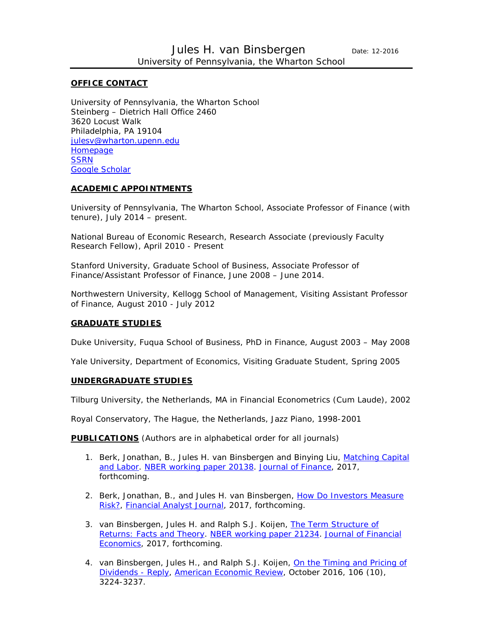#### **OFFICE CONTACT**

University of Pennsylvania, the Wharton School Steinberg – Dietrich Hall Office 2460 3620 Locust Walk Philadelphia, PA 19104 [julesv@wharton.upenn.edu](mailto:julesv@wharton.upenn.edu) **[Homepage](https://fnce.wharton.upenn.edu/profile/27423/) [SSRN](http://papers.ssrn.com/sol3/cf_dev/AbsByAuth.cfm?per_id=545907)** [Google Scholar](https://scholar.google.com/citations?user=zJ6Uq2wAAAAJ&hl=en&oi=ao)

#### **ACADEMIC APPOINTMENTS**

University of Pennsylvania, The Wharton School, Associate Professor of Finance (with tenure), July 2014 – present.

National Bureau of Economic Research, Research Associate (previously Faculty Research Fellow), April 2010 - Present

Stanford University, Graduate School of Business, Associate Professor of Finance/Assistant Professor of Finance, June 2008 – June 2014.

Northwestern University, Kellogg School of Management, Visiting Assistant Professor of Finance, August 2010 - July 2012

#### **GRADUATE STUDIES**

Duke University, Fuqua School of Business, PhD in Finance, August 2003 – May 2008

Yale University, Department of Economics, Visiting Graduate Student, Spring 2005

#### **UNDERGRADUATE STUDIES**

Tilburg University, the Netherlands, MA in Financial Econometrics (Cum Laude), 2002

Royal Conservatory, The Hague, the Netherlands, Jazz Piano, 1998-2001

**PUBLICATIONS** (Authors are in alphabetical order for all journals)

- 1. Berk, Jonathan, B., Jules H. van Binsbergen and Binying Liu, [Matching Capital](http://papers.ssrn.com/sol3/papers.cfm?abstract_id=2409915)  [and Labor.](http://papers.ssrn.com/sol3/papers.cfm?abstract_id=2409915) [NBER working paper 20138.](http://www.nber.org/papers/w20138) *[Journal of Finance](http://www.afajof.org/)*, 2017, forthcoming.
- 2. Berk, Jonathan, B., and Jules H. van Binsbergen, [How Do Investors Measure](http://papers.ssrn.com/sol3/papers.cfm?abstract_id=2668303)  [Risk?,](http://papers.ssrn.com/sol3/papers.cfm?abstract_id=2668303) *[Financial Analyst Journal](http://www.cfapubs.org/loi/faj)*, 2017, forthcoming.
- 3. van Binsbergen, Jules H. and Ralph S.J. Koijen, [The Term Structure of](http://papers.ssrn.com/sol3/cf_dev/AbsByAuth.cfm?per_id=545907)  [Returns: Facts and Theory.](http://papers.ssrn.com/sol3/cf_dev/AbsByAuth.cfm?per_id=545907) [NBER working paper 21234.](http://www.nber.org/papers/w21234) *[Journal of Financial](http://jfe.rochester.edu/)  [Economics](http://jfe.rochester.edu/)*, 2017, forthcoming.
- 4. van Binsbergen, Jules H., and Ralph S.J. Koijen, On the Timing and Pricing of [Dividends -](https://papers.ssrn.com/sol3/papers.cfm?abstract_id=2787713) Reply, *[American Economic Review](https://www.aeaweb.org/articles?id=10.1257/aer.20160698&within%5Btitle%5D=on&within%5Babstract%5D=on&within%5Bauthor%5D=on&journal=1&q=on+the+timing+and+pricing+of+dividends&from=j)*, October 2016, 106 (10), 3224-3237.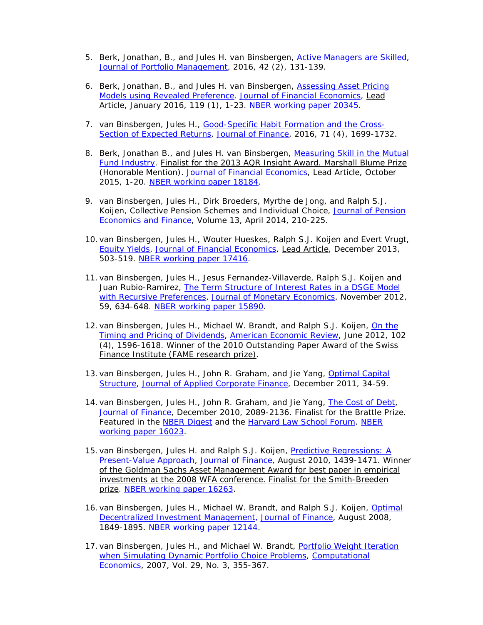- 5. Berk, Jonathan, B., and Jules H. van Binsbergen, [Active Managers are Skilled,](http://papers.ssrn.com/sol3/papers.cfm?abstract_id=2616505) *[Journal of Portfolio Management](http://www.iijournals.com/toc/jpm/current)*, 2016, 42 (2), 131-139.
- 6. Berk, Jonathan, B., and Jules H. van Binsbergen, [Assessing Asset Pricing](http://papers.ssrn.com/sol3/papers.cfm?abstract_id=2340784)  [Models using Revealed Preference.](http://papers.ssrn.com/sol3/papers.cfm?abstract_id=2340784) *[Journal of Financial Economics](http://jfe.rochester.edu/)*, Lead Article, January 2016, 119 (1), 1-23. [NBER working paper 20345.](http://www.nber.org/papers/w20435)
- 7. van Binsbergen, Jules H., [Good-Specific Habit Formation and the Cross-](http://papers.ssrn.com/sol3/papers.cfm?abstract_id=1101456)[Section of Expected Returns.](http://papers.ssrn.com/sol3/papers.cfm?abstract_id=1101456) *[Journal of Finance](http://www.afajof.org/)*, 2016, 71 (4), 1699-1732.
- 8. Berk, Jonathan B., and Jules H. van Binsbergen, [Measuring Skill in the Mutual](http://papers.ssrn.com/sol3/papers.cfm?abstract_id=2038108)  [Fund Industry.](http://papers.ssrn.com/sol3/papers.cfm?abstract_id=2038108) Finalist for the 2013 AQR Insight Award. Marshall Blume Prize (Honorable Mention). *[Journal of Financial Economics,](http://jfe.rochester.edu/)* Lead Article, October 2015, 1-20. [NBER working paper 18184.](http://www.nber.org/papers/w18184)
- 9. van Binsbergen, Jules H., Dirk Broeders, Myrthe de Jong, and Ralph S.J. Koijen, Collective Pension Schemes and Individual Choice, *[Journal of Pension](http://journals.cambridge.org/action/displayJournal?jid=PEF)  [Economics and Finance](http://journals.cambridge.org/action/displayJournal?jid=PEF)*, Volume 13, April 2014, 210-225.
- 10. van Binsbergen, Jules H., Wouter Hueskes, Ralph S.J. Koijen and Evert Vrugt, [Equity Yields,](http://papers.ssrn.com/sol3/papers.cfm?abstract_id=1748862) *[Journal of Financial Economics](http://jfe.rochester.edu/)*, Lead Article, December 2013, 503-519. [NBER working paper 17416.](http://www.nber.org/papers/w17416)
- 11. van Binsbergen, Jules H., Jesus Fernandez-Villaverde, Ralph S.J. Koijen and Juan Rubio-Ramirez, [The Term Structure of Interest Rates in a DSGE Model](http://papers.ssrn.com/sol3/papers.cfm?abstract_id=1569916)  [with Recursive Preferences,](http://papers.ssrn.com/sol3/papers.cfm?abstract_id=1569916) *[Journal of Monetary Economics](http://www.journals.elsevier.com/journal-of-monetary-economics/)*, November 2012, 59, 634-648. [NBER working paper 15890.](http://www.nber.org/papers/w15890)
- 12. van Binsbergen, Jules H., Michael W. Brandt, and Ralph S.J. Koijen, On the [Timing and Pricing of Dividends,](http://papers.ssrn.com/sol3/papers.cfm?abstract_id=1551654) *[American Economic Review](http://www.aeaweb.org/aer/index.php)*, June 2012, 102 (4), 1596-1618. Winner of the 2010 Outstanding Paper Award of the Swiss Finance Institute (FAME research prize).
- 13. van Binsbergen, Jules H., John R. Graham, and Jie Yang, Optimal Capital [Structure,](http://papers.ssrn.com/sol3/papers.cfm?abstract_id=1743203) *[Journal of Applied Corporate Finance](http://www.blackwellpublishing.com/journal.asp?ref=1078-1196)*, December 2011, 34-59.
- 14. van Binsbergen, Jules H., John R. Graham, and Jie Yang, **The Cost of Debt**, *[Journal of Finance](http://www.afajof.org/)*, December 2010, 2089-2136. Finalist for the Brattle Prize. Featured in the [NBER Digest](http://www.nber.org/digest/sep10/w16023.html) and the [Harvard Law School Forum.](http://blogs.law.harvard.edu/corpgov/tag/jules-van-binsbergen/) [NBER](http://www.nber.org/papers/w16023)  [working paper 16023.](http://www.nber.org/papers/w16023)
- 15. van Binsbergen, Jules H. and Ralph S.J. Koijen, Predictive Regressions: A [Present-Value Approach,](http://papers.ssrn.com/sol3/papers.cfm?abstract_id=968053) *[Journal of Finance](http://www.afajof.org/)*, August 2010, 1439-1471. Winner of the Goldman Sachs Asset Management Award for best paper in empirical investments at the 2008 WFA conference. Finalist for the Smith-Breeden prize. [NBER working paper 16263.](http://www.nber.org/papers/w16263)
- 16. van Binsbergen, Jules H., Michael W. Brandt, and Ralph S.J. Koijen, [Optimal](http://papers.ssrn.com/sol3/papers.cfm?abstract_id=887399) [Decentralized Investment Management,](http://papers.ssrn.com/sol3/papers.cfm?abstract_id=887399) *[Journal of Finance](http://www.afajof.org/)*, August 2008, 1849-1895. NBER [working](http://www.nber.org/cgi-bin/author_papers.pl?author=jules_vanbinsbergen) paper 12144.
- 17. van Binsbergen, Jules H., and Michael W. Brandt, [Portfolio](http://faculty.fuqua.duke.edu/areas/finance/phd/vanbinsbergen/WeightIteration.pdf) Weight Iteration when [Simulating](http://faculty.fuqua.duke.edu/areas/finance/phd/vanbinsbergen/WeightIteration.pdf) Dynamic Portfolio Choice Problems, *[Computational](http://www.springer.com/west/home/economics/economic+theory?SGWID=4-40537-70-35679503-0) [Economics](http://www.springer.com/west/home/economics/economic+theory?SGWID=4-40537-70-35679503-0)*, 2007, Vol. 29, No. 3, 355-367.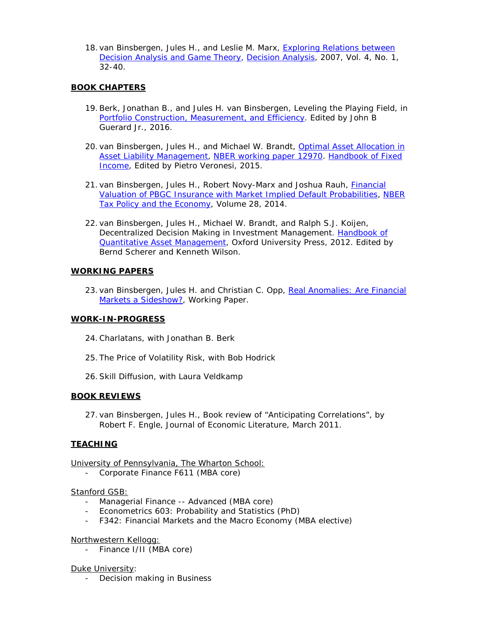18. van Binsbergen, Jules H., and Leslie M. Marx, [Exploring](http://papers.ssrn.com/sol3/papers.cfm?abstract_id=957636) Relations between [Decision](http://papers.ssrn.com/sol3/papers.cfm?abstract_id=957636) Analysis and Game Theory, *[Decision](http://www.informs.org/site/DA/) Analysis*, 2007, Vol. 4, No. 1, 32-40.

# **BOOK CHAPTERS**

- 19.Berk, Jonathan B., and Jules H. van Binsbergen, Leveling the Playing Field, in [Portfolio Construction, Measurement, and Efficiency.](http://www.springer.com/us/book/9783319339740) Edited by John B Guerard Jr., 2016.
- 20. van Binsbergen, Jules H., and Michael W. Brandt, Optimal Asset Allocation in [Asset Liability Management,](http://preprodpapers.ssrn.com/sol3/papers.cfm?abstract_id=890891&rec=1&srcabs=675681) [NBER working paper 12970.](http://www.nber.org/papers/w12970) [Handbook of Fixed](http://www.wiley.com/WileyCDA/WileyTitle/productCd-1118709195.html)  [Income,](http://www.wiley.com/WileyCDA/WileyTitle/productCd-1118709195.html) Edited by Pietro Veronesi, 2015.
- 21. van Binsbergen, Jules H., Robert Novy-Marx and Joshua Rauh, [Financial](http://ssrn.com/abstract=2336304)  [Valuation of PBGC Insurance with Market Implied Default Probabilities,](http://ssrn.com/abstract=2336304) *NBER [Tax Policy and the Economy](http://www.nber.org/booksbyseries/TPE.html)*, Volume 28, 2014.
- 22. van Binsbergen, Jules H., Michael W. Brandt, and Ralph S.J. Koijen, Decentralized Decision Making in Investment Managemen[t. Handbook of](http://ukcatalogue.oup.com/product/9780199553433.do)  [Quantitative Asset Management,](http://ukcatalogue.oup.com/product/9780199553433.do) Oxford University Press, 2012. Edited by Bernd Scherer and Kenneth Wilson.

# **WORKING PAPERS**

23. van Binsbergen, Jules H. and Christian C. Opp, Real Anomalies: Are Financial [Markets a Sideshow?,](https://papers.ssrn.com/sol3/papers.cfm?abstract_id=2747739) Working Paper.

# **WORK-IN-PROGRESS**

- 24.Charlatans, with Jonathan B. Berk
- 25. The Price of Volatility Risk, with Bob Hodrick
- 26.Skill Diffusion, with Laura Veldkamp

# **BOOK REVIEWS**

27. van Binsbergen, Jules H., Book review of "Anticipating Correlations", by Robert F. Engle, Journal of Economic Literature, March 2011.

# **TEACHING**

University of Pennsylvania, The Wharton School:

- Corporate Finance F611 (MBA core)

### Stanford GSB:

- Managerial Finance -- Advanced (MBA core)
- Econometrics 603: Probability and Statistics (PhD)
- F342: Financial Markets and the Macro Economy (MBA elective)

# Northwestern Kellogg:

- Finance I/II (MBA core)

# Duke University:

- Decision making in Business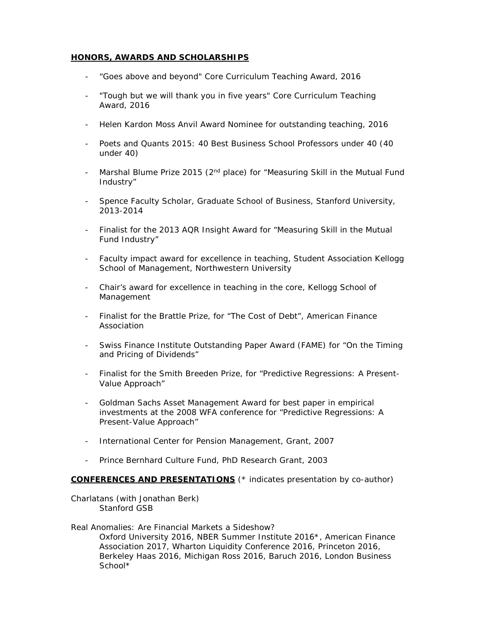### **HONORS, AWARDS AND SCHOLARSHIPS**

- ["Goes above and beyond" Core Curriculum Teaching Award,](https://mba-inside.wharton.upenn.edu/1042-2/) 2016
- ["Tough but we will thank you in five years" Core Curriculum Teaching](https://mba-inside.wharton.upenn.edu/1042-2/)  [Award,](https://mba-inside.wharton.upenn.edu/1042-2/) 2016
- Helen Kardon Moss Anvil Award Nominee for outstanding teaching, 2016
- Poets and Quants 2015: 40 Best Business School Professors under 40 (40 under 40)
- Marshal Blume Prize 2015 ( $2<sup>nd</sup>$  place) for "Measuring Skill in the Mutual Fund Industry"
- Spence Faculty Scholar, Graduate School of Business, Stanford University, 2013-2014
- Finalist for the 2013 AQR Insight Award for "Measuring Skill in the Mutual Fund Industry"
- Faculty impact award for excellence in teaching, Student Association Kellogg School of Management, Northwestern University
- Chair's award for excellence in teaching in the core, Kellogg School of Management
- Finalist for the Brattle Prize, for "The Cost of Debt", American Finance Association
- Swiss Finance Institute Outstanding Paper Award (FAME) for "On the Timing and Pricing of Dividends"
- Finalist for the Smith Breeden Prize, for "Predictive Regressions: A Present-Value Approach"
- Goldman Sachs Asset Management Award for best paper in empirical investments at the 2008 WFA conference for "Predictive Regressions: A Present-Value Approach"
- International Center for Pension Management, Grant, 2007
- Prince Bernhard Culture Fund, PhD Research Grant, 2003

### **CONFERENCES AND PRESENTATIONS** (\* indicates presentation by co-author)

Charlatans (with Jonathan Berk) Stanford GSB

Real Anomalies: Are Financial Markets a Sideshow? Oxford University 2016, NBER Summer Institute 2016\*, American Finance Association 2017, Wharton Liquidity Conference 2016, Princeton 2016, Berkeley Haas 2016, Michigan Ross 2016, Baruch 2016, London Business School\*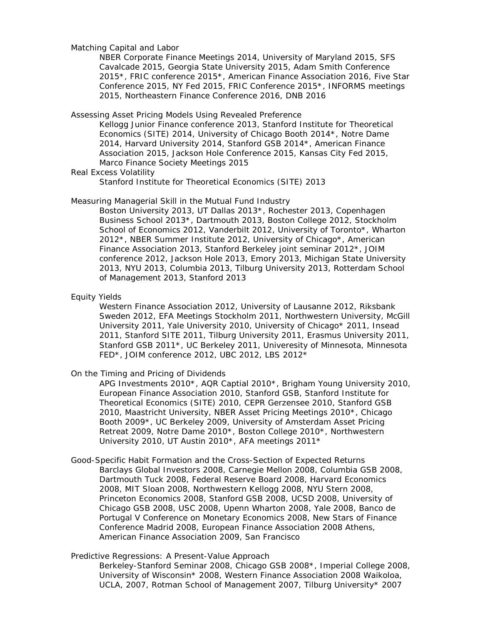Matching Capital and Labor

NBER Corporate Finance Meetings 2014, University of Maryland 2015, SFS Cavalcade 2015, Georgia State University 2015, Adam Smith Conference 2015\*, FRIC conference 2015\*, American Finance Association 2016, Five Star Conference 2015, NY Fed 2015, FRIC Conference 2015\*, INFORMS meetings 2015, Northeastern Finance Conference 2016, DNB 2016

Assessing Asset Pricing Models Using Revealed Preference

Kellogg Junior Finance conference 2013, Stanford Institute for Theoretical Economics (SITE) 2014, University of Chicago Booth 2014\*, Notre Dame 2014, Harvard University 2014, Stanford GSB 2014\*, American Finance Association 2015, Jackson Hole Conference 2015, Kansas City Fed 2015, Marco Finance Society Meetings 2015

Real Excess Volatility

Stanford Institute for Theoretical Economics (SITE) 2013

#### Measuring Managerial Skill in the Mutual Fund Industry

Boston University 2013, UT Dallas 2013\*, Rochester 2013, Copenhagen Business School 2013\*, Dartmouth 2013, Boston College 2012, Stockholm School of Economics 2012, Vanderbilt 2012, University of Toronto\*, Wharton 2012\*, NBER Summer Institute 2012, University of Chicago\*, American Finance Association 2013, Stanford Berkeley joint seminar 2012\*, JOIM conference 2012, Jackson Hole 2013, Emory 2013, Michigan State University 2013, NYU 2013, Columbia 2013, Tilburg University 2013, Rotterdam School of Management 2013, Stanford 2013

#### Equity Yields

Western Finance Association 2012, University of Lausanne 2012, Riksbank Sweden 2012, EFA Meetings Stockholm 2011, Northwestern University, McGill University 2011, Yale University 2010, University of Chicago\* 2011, Insead 2011, Stanford SITE 2011, Tilburg University 2011, Erasmus University 2011, Stanford GSB 2011\*, UC Berkeley 2011, Univeresity of Minnesota, Minnesota FED\*, JOIM conference 2012, UBC 2012, LBS 2012\*

On the Timing and Pricing of Dividends

APG Investments 2010\*, AQR Captial 2010\*, Brigham Young University 2010, European Finance Association 2010, Stanford GSB, Stanford Institute for Theoretical Economics (SITE) 2010, CEPR Gerzensee 2010, Stanford GSB 2010, Maastricht University, NBER Asset Pricing Meetings 2010\*, Chicago Booth 2009\*, UC Berkeley 2009, University of Amsterdam Asset Pricing Retreat 2009, Notre Dame 2010\*, Boston College 2010\*, Northwestern University 2010, UT Austin 2010\*, AFA meetings 2011\*

Good-Specific Habit Formation and the Cross-Section of Expected Returns Barclays Global Investors 2008, Carnegie Mellon 2008, Columbia GSB 2008, Dartmouth Tuck 2008, Federal Reserve Board 2008, Harvard Economics 2008, MIT Sloan 2008, Northwestern Kellogg 2008, NYU Stern 2008, Princeton Economics 2008, Stanford GSB 2008, UCSD 2008, University of Chicago GSB 2008, USC 2008, Upenn Wharton 2008, Yale 2008, Banco de Portugal V Conference on Monetary Economics 2008, New Stars of Finance Conference Madrid 2008, European Finance Association 2008 Athens, American Finance Association 2009, San Francisco

### Predictive Regressions: A Present-Value Approach

Berkeley-Stanford Seminar 2008, Chicago GSB 2008\*, Imperial College 2008, University of Wisconsin\* 2008, Western Finance Association 2008 Waikoloa, UCLA, 2007, Rotman School of Management 2007, Tilburg University\* 2007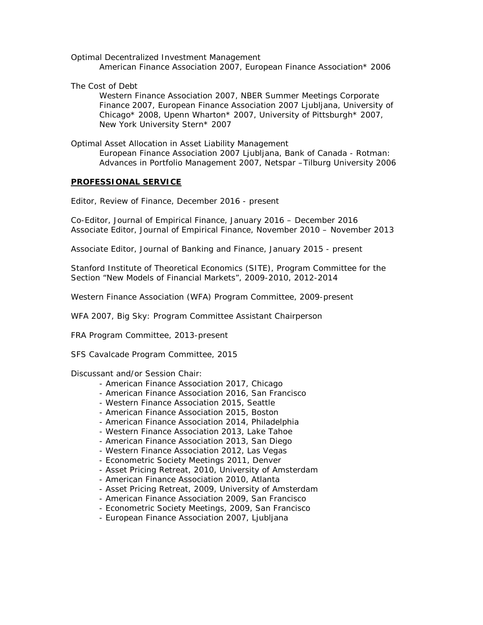Optimal Decentralized Investment Management

American Finance Association 2007, European Finance Association\* 2006

The Cost of Debt

Western Finance Association 2007, NBER Summer Meetings Corporate Finance 2007, European Finance Association 2007 Ljubljana, University of Chicago\* 2008, Upenn Wharton\* 2007, University of Pittsburgh\* 2007, New York University Stern\* 2007

Optimal Asset Allocation in Asset Liability Management European Finance Association 2007 Ljubljana, Bank of Canada - Rotman: Advances in Portfolio Management 2007, Netspar –Tilburg University 2006

### **PROFESSIONAL SERVICE**

Editor, Review of Finance, December 2016 - present

Co-Editor, Journal of Empirical Finance, January 2016 – December 2016 Associate Editor, Journal of Empirical Finance, November 2010 – November 2013

Associate Editor, Journal of Banking and Finance, January 2015 - present

Stanford Institute of Theoretical Economics (SITE), Program Committee for the Section "New Models of Financial Markets", 2009-2010, 2012-2014

Western Finance Association (WFA) Program Committee, 2009-present

WFA 2007, Big Sky: Program Committee Assistant Chairperson

FRA Program Committee, 2013-present

SFS Cavalcade Program Committee, 2015

Discussant and/or Session Chair:

- American Finance Association 2017, Chicago
- American Finance Association 2016, San Francisco
- Western Finance Association 2015, Seattle
- American Finance Association 2015, Boston
- American Finance Association 2014, Philadelphia
- Western Finance Association 2013, Lake Tahoe
- American Finance Association 2013, San Diego
- Western Finance Association 2012, Las Vegas
- Econometric Society Meetings 2011, Denver
- Asset Pricing Retreat, 2010, University of Amsterdam
- American Finance Association 2010, Atlanta
- Asset Pricing Retreat, 2009, University of Amsterdam
- American Finance Association 2009, San Francisco
- Econometric Society Meetings, 2009, San Francisco
- European Finance Association 2007, Ljubljana